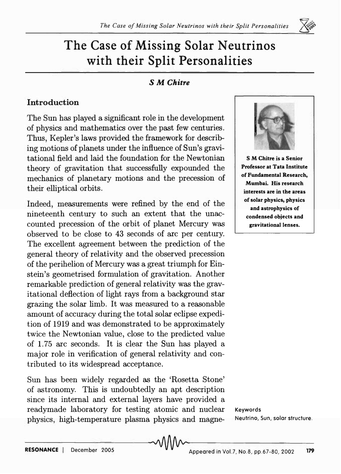# The Case of Missing Solar Neutrinos with their Split Personalities

## *S* M *Chitre*

## Introduction

The Sun has played a significant role in the development of physics and mathematics over the past few centuries. Thus, Kepler's laws provided the framework for describing motions of planets under the influence of Sun's gravitational field and laid the foundation for the Newtonian theory of gravitation that successfully expounded the mechanics of planetary motions and the precession of their elliptical orbits.

Indeed, measurements were refined by the end of the nineteenth century to such an extent that the unaccounted precession of the orbit of planet Mercury was observed to be close to 43 seconds of arc per century. The excellent agreement between the prediction of the general theory of relativity and the observed precession of the perihelion of Mercury was a great triumph for Einstein's geometrised formulation of gravitation. Another remarkable prediction of general relativity was the gravitational deflection of light rays from a background star grazing the solar limb. It was measured to a reasonable amount of accuracy during the total solar eclipse expedition of 1919 and was demonstrated to be approximately twice the Newtonian value, close to the predicted value of 1. 75 arc seconds. It is clear the Sun has played a major role in verification of general relativity and contributed to its widespread acceptance.

Sun has been widely regarded as the 'Rosetta Stone' of astronomy. This is undoubtedly an apt description since its internal and external layers have provided a readymade laboratory for testing atomic and nuclear physics, high-temperature plasma physics and magne-



 $\ominus$ 

S M Chitre is a Senior Professor at Tata Institute of Fundamental Research, Mumbai. His research interests are in the areas of solar physics, physics and astrophysics of condensed objects and gravitational lenses.

Keywords Neutrino, Sun, solar structure.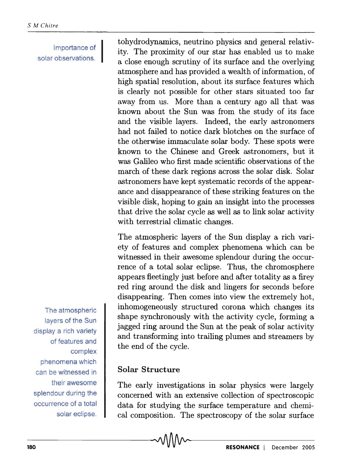Importance of solar observations.

tohydrodynamics, neutrino physics and general relativity. The proximity of our star has enabled us to make a close enough scrutiny of its surface and the overlying atmosphere and has provided a wealth of information, of high spatial resolution, about its surface features which is clearly not possible for other stars situated too far away from us. More than a century ago all that was known about the Sun was from the study of its face and the visible layers. Indeed, the early astronomers had not failed to notice dark blotches on the surface of the otherwise immaculate solar body. These spots were known to the Chinese and Greek astronomers, but it was Galileo who first made scientific observations of the march of these dark regions across the solar disk. Solar astronomers have kept systematic records of the appearance and disappearance of these striking features on the visible disk, hoping to gain an insight into the processes that drive the solar cycle as well as to link solar activity with terrestrial climatic changes.

The atmospheric layers of the Sun display a rich variety of features and complex phenomena which can be witnessed in their awesome splendour during the occurrence of a total solar eclipse. Thus, the chromosphere appears fleetingly just before and after totality as a firey red ring around the disk and lingers for seconds before disappearing. Then comes into view the extremely hot, inhomogeneously structured corona which changes its shape synchronously with the activity cycle, forming a jagged ring around the Sun at the peak of solar activity and transforming into trailing plumes and streamers by the end of the cycle.

#### Solar Structure

The early investigations in solar physics were largely concerned with an extensive collection of spectroscopic data for studying the surface temperature and chemical composition. The spectroscopy of the solar surface

The atmospheric layers of the Sun display a rich variety of features and complex phenomena which can be witnessed in their awesome splendour during the occurrence of a total solar eclipse.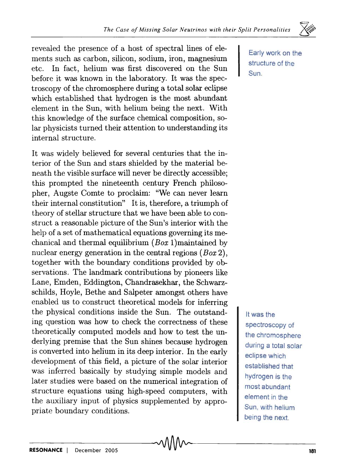

revealed the presence of a host of spectral lines of elements such as carbon, silicon, sodium, iron, magnesium etc. In fact, helium was first discovered on the Sun before it was known in the laboratory. It was the spectroscopy of the chromosphere during a total solar eclipse which established that hydrogen is the most abundant element in the Sun, with helium being the next. With this knowledge of the surface chemical composition, solar physicists turned their attention to understanding its internal structure.

It was widely believed for several centuries that the interior of the Sun and stars shielded by the material beneath the visible surface will never be directly accessible; this prompted the nineteenth century French philosopher, Augste Comte to proclaim: "We can never learn their internal constitution" It is, therefore, a triumph of theory of stellar structure that we have been able to construct a reasonable picture of the Sun's interior with the help of a set of mathematical equations governing its mechanical and thermal equilibrium *(Box 1)* maintained by nuclear energy generation in the central regions *(Box 2)*, together with the boundary conditions provided by observations. The landmark contributions by pioneers like Lane, Emden, Eddington, Chandrasekhar, the Schwarzschilds, Hoyle, Bethe and Salpeter amongst others have enabled us to construct theoretical models for inferring the physical conditions inside the Sun. The outstanding question was how to check the correctness of these theoretically computed models and how to test the underlying premise that the Sun shines because hydrogen is converted into helium in its deep interior. In the early development of this field, a picture of the solar interior was inferred basically by studying simple models and later studies were based on the numerical integration of structure equations using high-speed computers, with the auxiliary input of physics supplemented by appropriate boundary conditions.

Early work on the structure of the Sun.

It was the spectroscopy of the chromosphere during a total solar eclipse which established that hydrogen is the most abundant element in the Sun, with helium being the next.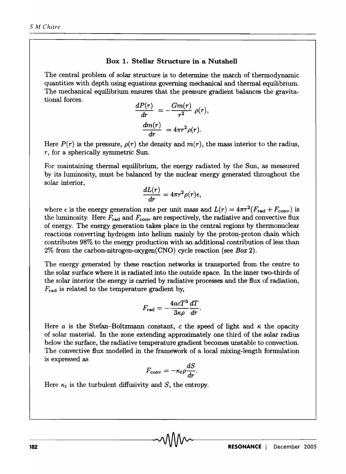#### Box 1. Stellar Structure in a Nutshell

The central problem of solar structure is to determine the march of thermodynamic quantities with depth using equations governing mechanical and thermal equilibrium. The mechanical equilibrium ensures that the pressure gradient balances the gravitational forces.

$$
\frac{dP(r)}{dr} = -\frac{Gm(r)}{r^2} \; \rho(r),
$$

$$
\frac{dm(r)}{dr} = 4\pi r^2 \rho(r).
$$

Here  $P(r)$  is the pressure,  $\rho(r)$  the density and  $m(r)$ , the mass interior to the radius, *r,* for a spherically symmetric Sun.

For maintaining thermal equilibrium, the energy radiated by the Sun, as measured by its luminosity, must be balanced by the nuclear energy generated throughout the solar interior,

$$
\frac{dL(r)}{dr}=4\pi r^2\rho(r)\epsilon,
$$

where  $\epsilon$  is the energy generation rate per unit mass and  $L(r) = 4\pi r^2 (F_{\text{rad}} + F_{\text{conv}})$  is the luminosity. Here  $F_{\text{rad}}$  and  $F_{\text{conv}}$  are respectively, the radiative and convective flux of energy. The energy generation takes place in the central regions by thermonuclear reactions converting hydrogen into helium mainly by the proton-proton chain which contributes 98% to the energy production with an additional contribution of less than 2% from the carbon-nitrogen-oxygen(CNO) cycle reaction (see *Box 2).* 

The energy generated by these reaction networks is transported from the centre to the solar surface where it is radiated into the outside space. In the inner two-thirds of the solar interior the energy is carried by radiative processes and the flux of radiation,  $F_{\text{rad}}$  is related to the temperature gradient by,

$$
F_{\rm rad} = -\frac{4acT^3}{3\kappa\rho}\frac{dT}{dr}.
$$

Here *a* is the Stefan-Boltzmann constant, c the speed of light and  $\kappa$  the opacity of solar material. In the zone extending approximately one third of the solar radius below the surface, the radiative temperature gradient becomes unstable to convection. The convective flux modelled in the framework of a local mixing-length formulation is expressed as

$$
F_{\rm conv} = -\kappa_t \rho \frac{dS}{dr}.
$$

Here  $\kappa_t$  is the turbulent diffusivity and S, the entropy.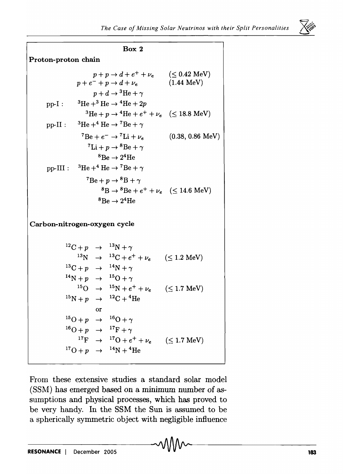

|                                            |                                                                                                                                  |               | Box 2                                                                                                                                                                                                                                                                                                                                                                                     |                      |                            |
|--------------------------------------------|----------------------------------------------------------------------------------------------------------------------------------|---------------|-------------------------------------------------------------------------------------------------------------------------------------------------------------------------------------------------------------------------------------------------------------------------------------------------------------------------------------------------------------------------------------------|----------------------|----------------------------|
| Proton-proton chain                        |                                                                                                                                  |               |                                                                                                                                                                                                                                                                                                                                                                                           |                      |                            |
|                                            |                                                                                                                                  |               | $p+p\rightarrow d+e^++\nu_e$<br>$p + e^- + p \rightarrow d + \nu_e$<br>$p + d \rightarrow$ <sup>3</sup> He + $\gamma$<br><sup>3</sup> He + <sup>3</sup> He $\rightarrow$ <sup>4</sup> He + 2p                                                                                                                                                                                             | $(1.44 \text{ MeV})$ | $(< 0.42 \text{ MeV})$     |
| $pp-I$ :                                   |                                                                                                                                  |               | ${}^{3}\text{He} + p \rightarrow {}^{4}\text{He} + e^{+} + \nu_e \quad (\leq 18.8 \text{ MeV})$                                                                                                                                                                                                                                                                                           |                      |                            |
| $pp-II$ :                                  |                                                                                                                                  |               | <sup>3</sup> He + <sup>4</sup> He $\rightarrow$ <sup>7</sup> Be + $\gamma$                                                                                                                                                                                                                                                                                                                |                      |                            |
| $pp-III$ :<br>Carbon-nitrogen-oxygen cycle |                                                                                                                                  |               | ${}^{7}Be + e^{-} \rightarrow {}^{7}Li + \nu_{e}$<br><sup>7</sup> Li + p $\rightarrow$ <sup>8</sup> Be + $\gamma$<br>${}^{8}Be \rightarrow 2^{4}He$<br><sup>3</sup> He + <sup>4</sup> He $\rightarrow$ <sup>7</sup> Be + $\gamma$<br>${}^{7}Be + p \rightarrow {}^{8}B + \gamma$<br>${}^{8}B \rightarrow {}^{8}Be + e^{+} + \nu_{e}$ ( $\leq 14.6$ MeV)<br>${}^{8}Be \rightarrow 2^{4}He$ |                      | $(0.38, 0.86 \text{ MeV})$ |
|                                            |                                                                                                                                  |               |                                                                                                                                                                                                                                                                                                                                                                                           |                      |                            |
|                                            | $^{12}C + p \rightarrow ^{13}N + \gamma$<br>$^{13}C + p \rightarrow ^{14}N + \gamma$<br>$^{14}N + p \rightarrow ^{15}O + \gamma$ |               | $^{13}N \rightarrow ^{13}C+e^+ + \nu_e \quad (\leq 1.2 \text{ MeV})$                                                                                                                                                                                                                                                                                                                      |                      |                            |
|                                            |                                                                                                                                  | <sub>or</sub> | $^{15}O \rightarrow ^{15}N + e^+ + \nu_e$ ( $\leq 1.7$ MeV)<br>$^{15}N + p \rightarrow ^{12}C + ^{4}He$                                                                                                                                                                                                                                                                                   |                      |                            |
|                                            | $^{15}O+p \rightarrow$<br>$^{16}O + p \rightarrow ^{17}F + \gamma$                                                               |               | $16O + \gamma$<br><sup>17</sup> F $\rightarrow$ <sup>17</sup> O + $e^+$ + $\nu_e$ ( $\leq$ 1.7 MeV)<br>${}^{17}O + p \rightarrow {}^{14}N + {}^{4}He$                                                                                                                                                                                                                                     |                      |                            |

From these extensive studies a standard solar model (SSM) has emerged based on a minimum number of assumptions and physical processes, which has proved to be very handy. In the SSM the Sun is assumed to be a spherically symmetric object with negligible influence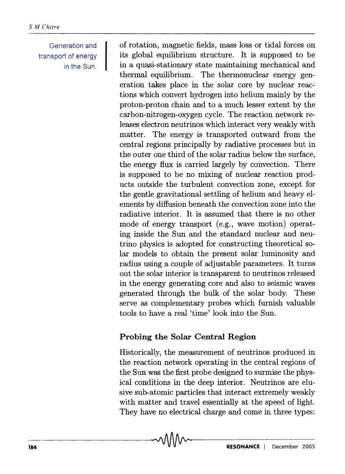#### Generation and transport of energy in the Sun.

of rotation, magnetic fields, mass loss or tidal forces on its global equilibrium structure. It is supposed to be in a quasi-stationary state maintaining mechanical and thermal equilibrium. The thermonuclear energy generation takes place in the solar core by nuclear reactions which convert hydrogen into helium mainly by the proton-proton chain and to a much lesser extent by the carbon-nitrogen-oxygen cycle. The reaction network releases electron neutrinos which interact very weakly with matter. The energy is transported outward from the central regions principally by radiative processes but in the outer one third of the solar radius below the surface, the energy flux is carried largely by convection. There is supposed to be no mixing of nuclear reaction products outside the turbulent convection zone, except for the gentle gravitational settling of helium and heavy elements by diffusion beneath the convection zone into the radiative interior. It is assumed that there is no other mode of energy transport (e.g., wave motion) operating inside the Sun and the standard nuclear and neutrino physics is adopted for constructing theoretical solar models to obtain the present solar luminosity and radius using a couple of adjustable parameters. It turns out the solar interior is transparent to neutrinos released in the energy generating core and also to seismic waves generated through the bulk of the solar body. These serve as complementary probes which furnish valuable tools to have a real 'time' look into the Sun.

### **Probing the Solar Central Region**

Historically, the measurement of neutrinos produced in the reaction network operating in the central regions of the Sun was the first probe designed to surmise the physical conditions in the deep interior. Neutrinos are elusive sub-atomic particles that interact extremely weakly with matter and travel essentially at the speed of light. They have no electrical charge and come in three types: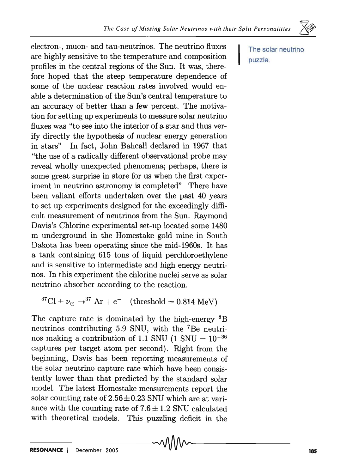

electron-, muon- and tau-neutrinos. The neutrino fluxes are highly sensitive to the temperature and composition profiles in the central regions of the Sun. It was, therefore hoped that the steep temperature dependence of some of the nuclear reaction rates involved would enable a determination of the Sun's central temperature to an accuracy of better than a few percent. The motivation for setting up experiments to measure solar neutrino fluxes was "to see into the interior of a star and thus verify directly the hypothesis of nuclear energy generation in stars" In fact, John Bahcall declared in 1967 that "the use of a radically different observational probe may reveal wholly unexpected phenomena; perhaps, there is some great surprise in store for us when the first experiment in neutrino astronomy is completed" There have been valiant efforts undertaken over the past 40 years to set up experiments designed for the exceedingly difficult measurement of neutrinos from the Sun. Raymond Davis's Chlorine experimental set-up located some 1480 m underground in the Homestake gold mine in South Dakota has been operating since the mid-1960s. It has a tank containing 615 tons of liquid perchloroethylene and is sensitive to intermediate and high energy neutrinos. In this experiment the chlorine nuclei serve as solar neutrino absorber according to the reaction.

 ${}^{37}Cl + \nu_{\odot} \rightarrow {}^{37}Ar + e^-$  (threshold = 0.814 MeV)

The capture rate is dominated by the high-energy *BB*  neutrinos contributing 5.9 SNU, with the 7Be neutrinos making a contribution of 1.1 SNU (1 SNU =  $10^{-36}$ captures per target atom per second). Right from the beginning, Davis has been reporting measurements of the solar neutrino capture rate which have been consistently lower than that predicted by the standard solar model. The latest Homestake measurements report the solar counting rate of  $2.56 \pm 0.23$  SNU which are at variance with the counting rate of  $7.6 \pm 1.2$  SNU calculated with theoretical models. This puzzling deficit in the

The solar neutrino puzzle.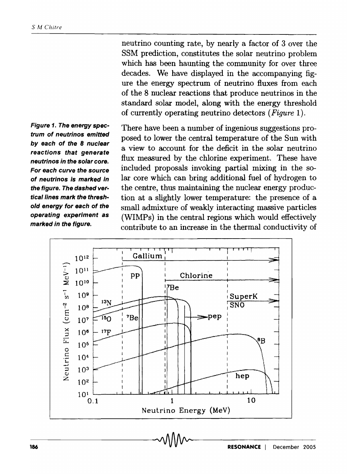Figure 1. The energy spectrum of neutrinos emitted by each of the 8 nuclear reactions that generate neutrinos in the solar core. For each curve the source of neutrinos is marked in the figure. The dashed vertical lines mark the threshold energy for each of the operating experiment as marked in the figure.

neutrino counting rate, by nearly a factor of 3 over the SSM prediction, constitutes the solar neutrino problem which has been haunting the community for over three decades. We have displayed in the accompanying figure the energy spectrum of neutrino fluxes from each of the 8 nuclear reactions that produce neutrinos in the standard solar model, along with the energy threshold of currently operating neutrino detectors *(Figure* 1).

There have been a number of ingenious suggestions proposed to lower the central temperature of the Sun with a view to account for the deficit in the solar neutrino flux measured by the chlorine experiment. These have included proposals invoking partial mixing in the solar core which can bring additional fuel of hydrogen to the centre, thus maintaining the nuclear energy production at a slightly lower temperature: the presence of a small admixture of weakly interacting massive particles (WIMPs) in the central regions which would effectively contribute to an increase in the thermal conductivity of

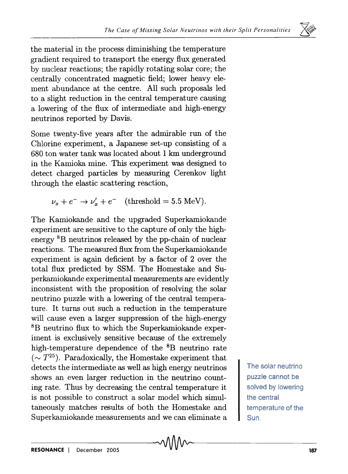

the material in the process diminishing the temperature gradient required to transport the energy flux generated by nuclear reactions; the rapidly rotating solar core; the centrally concentrated magnetic field; lower heavy element abundance at the centre. All such proposals led to a slight reduction in the central temperature causing a lowering of the flux of intermediate and high-energy neutrinos reported by Davis.

Some twenty-five years after the admirable run of the Chlorine experiment, a Japanese set-up consisting of a 680 ton water tank was located about 1 km underground in the Kamioka mine. This experiment was designed to detect charged particles by measuring Cerenkov light through the elastic scattering reaction,

 $\nu_r + e^- \rightarrow \nu'_r + e^-$  (threshold = 5.5 MeV).

The Kamiokande and the upgraded Superkamiokande experiment are sensitive to the capture of only the highenergy 8B neutrinos released by the pp-chain of nuclear reactions. The measured flux from the Superkamiokande experiment is again deficient by a factor of 2 over the total flux predicted by SSM. The Homestake and Superkamiokande experimental measurements are evidently inconsistent with the proposition of resolving the solar neutrino puzzle with a lowering of the central temperature. It turns out such a reduction in the temperature will cause even a larger suppression of the high-energy 8B neutrino flux to which the Superkamiokande experiment is exclusively sensitive because of the extremely high-temperature dependence of the <sup>8</sup>B neutrino rate  $(\sim T^{25})$ . Paradoxically, the Homestake experiment that detects the intermediate as well as high energy neutrinos shows an even larger reduction in the neutrino counting rate. Thus by decreasing the central temperature it is not possible to construct a solar model which simultaneously matches results of both the Homestake and Superkamiokande measurements and we can eliminate a

The solar neutrino puzzle cannot be solved by lowering the central temperature of the Sun.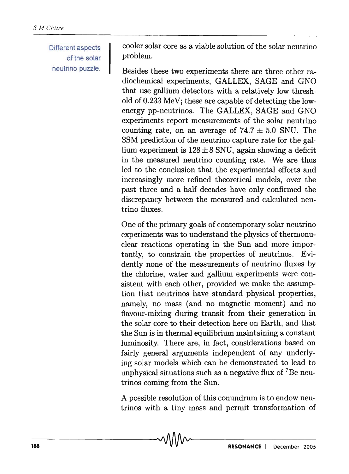#### Different aspects of the solar neutrino puzzle.

cooler solar core *as* a viable solution of the solar neutrino problem.

Besides these two experiments there are three other radiochemical experiments, GALLEX, SAGE and GNO that use gallium detectors with a relatively low threshold of 0.233 MeV; these are capable of detecting the lowenergy pp-neutrinos. The GALLEX, SAGE and GNO experiments report measurements of the solar neutrino counting rate, on an average of  $74.7 \pm 5.0$  SNU. The SSM prediction of the neutrino capture rate for the gallium experiment is  $128 \pm 8$  SNU, again showing a deficit in the measured neutrino counting rate. We are thus led to the conclusion that the experimental efforts and increasingly more refined theoretical models, over the past three and a half decades have only confirmed the discrepancy between the measured and calculated neutrino fluxes.

One of the primary goals of contemporary solar neutrino experiments was to understand the physics of thermonuclear reactions operating in the Sun and more importantly, to constrain the properties of neutrinos. Evidently none of the measurements of neutrino fluxes by the chlorine, water and gallium experiments were consistent with each other, provided we make the assumption that neutrinos have standard physical properties, namely, no mass (and no magnetic moment) and no flavour-mixing during transit from their generation in the solar core to their detection here on Earth, and that the Sun is in thermal equilibrium maintaining a constant luminosity. There are, in fact, considerations based on fairly general arguments independent of any underlying solar models which can be demonstrated to lead to unphysical situations such *as* a negative flux of 7Be neutrinos coming from the Sun.

A possible resolution of this conundrum is to endow neutrinos with a tiny *mass* and permit transformation of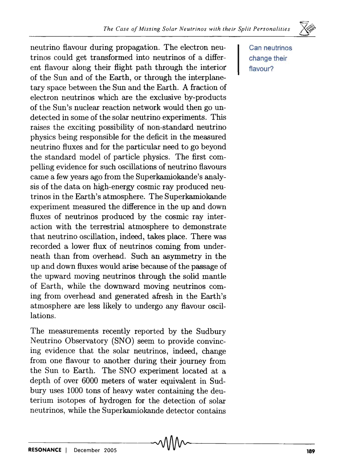

neutrino flavour during propagation. The electron neutrinos could get transformed into neutrinos of a different flavour along their flight path through the interior of the Sun and of the Earth, or through the interplanetary space between the Sun and the Earth. A fraction of electron neutrinos which are the exclusive by-products of the Sun's nuclear reaction network would then go undetected in some of the solar neutrino experiments. This raises the exciting possibility of non-standard neutrino physics being responsible for the deficit in the measured neutrino fluxes and for the particular need to go beyond the standard model of particle physics. The first compelling evidence for such oscillations of neutrino flavours came a few years ago from the Superkamiokande's analysis of the data on high-energy cosmic ray produced neutrinos in the Earth's atmosphere. The Superkamiokande experiment measured the difference in the up and down fluxes of neutrinos produced by the cosmic ray interaction with the terrestrial atmosphere to demonstrate that neutrino oscillation, indeed, takes place. There was recorded a lower flux of neutrinos coming from underneath than from overhead. Such an asymmetry in the up and down fluxes would arise because of the passage of the upward moving neutrinos through the solid mantle of Earth, while the downward moving neutrinos coming from overhead and generated afresh in the Earth's atmosphere are less likely to undergo any flavour oscillations.

The measurements recently reported by the Sudbury Neutrino Observatory (SNO) seem to provide convincing evidence that the solar neutrinos, indeed, change from one flavour to another during their journey from the Sun to Earth. The SNO experiment located at a depth of over 6000 meters of water equivalent in Sudbury uses 1000 tons of heavy water containing the deuterium isotopes of hydrogen for the detection of solar neutrinos, while the Superkamiokande detector contains

Can neutrinos change their flavour?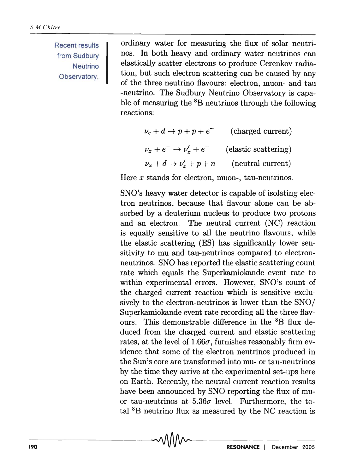Recent results from Sudbury **Neutrino** Observatory.

ordinary water for measuring the flux of solar neutrinos. In both heavy and ordinary water neutrinos can elastically scatter electrons to produce Cerenkov radiation, but such electron scattering can be caused by any of the three neutrino flavours: electron, muon- and tau -neutrino. The Sudbury Neutrino Observatory is capable of measuring the 8B neutrinos through the following reactions:

> $\nu_e + d \rightarrow p + p + e^-$  (charged current)  $\nu_x + e^- \rightarrow \nu'_x + e^-$  (elastic scattering)  $\nu_x + d \rightarrow \nu'_x + p + n$  (neutral current)

Here *x* stands for electron, muon-, tau-neutrinos.

SNO's heavy water detector is capable of isolating electron neutrinos, because that flavour alone can be absorbed by a deuterium nucleus to produce two protons and an electron. The neutral current (NC) reaction is equally sensitive to all the neutrino flavours, while the elastic scattering (ES) has significantly lower sensitivity to mu and tau-neutrinos compared to electronneutrinos. SNO has reported the elastic scattering count rate which equals the Superkamiokande event rate to within experimental errors. However, SNO's count of the charged current reaction which is sensitive exclusively to the electron-neutrinos is lower than the  $SNO/$ Superkamiokande event rate recording all the three flavours. This demonstrable difference in the 8B flux deduced from the charged current and elastic scattering rates, at the level of  $1.66\sigma$ , furnishes reasonably firm evidence that some of the electron neutrinos produced in the Sun's core are transformed into mu- or tau-neutrinos by the time they arrive at the experimental set-ups here on Earth. Recently, the neutral current reaction results have been announced by SNO reporting the flux of muor tau-neutrinos at  $5.36\sigma$  level. Furthermore, the total 8B neutrino flux as measured by the NC reaction is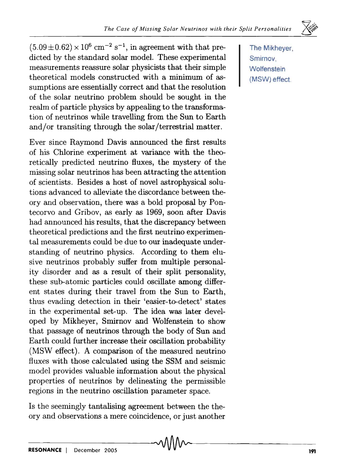

 $(5.09\pm0.62)\times10^6$  cm<sup>-2</sup> s<sup>-1</sup>, in agreement with that predicted by the standard solar model. These experimental measurements reassure solar physicists that their simple theoretical models constructed with a minimum of assumptions are essentially correct and that the resolution of the solar neutrino problem should be sought in the realm of particle physics by appealing to the transformation of neutrinos while travelling from the Sun to Earth and/or transiting through the solar/terrestrial matter.

Ever since Raymond Davis announced the first results of his Chlorine experiment at variance with the theoretically predicted neutrino fluxes, the mystery of the missing solar neutrinos has been attracting the attention of scientists. Besides a host of novel astrophysical solutions advanced to alleviate the discordance between theory and observation, there was a bold proposal by Pontecorvo and Gribov, as early as 1969, soon after Davis had announced his results, that the discrepancy between theoretical predictions and the first neutrino experimental measurements could be due to our inadequate understanding of neutrino physics. According to them elusive neutrinos probably suffer from multiple personality disorder and as a result of their split personality, these sub-atomic particles could oscillate among different states during their travel from the Sun to Earth, thus evading detection in their 'easier-to-detect' states in the experimental set-up. The idea was later developed by Mikheyer, Smirnov and Wolfenstein to show that passage of neutrinos through the body of Sun and Earth could further increase their oscillation probability (MSW effect). A comparison of the measured neutrino fluxes with those calculated using the SSM and seismic model provides valuable information about the physical properties of neutrinos by delineating the permissible regions in the neutrino oscillation parameter space.

Is the seemingly tantalising agreement between the theory and observations a mere coincidence, or just another The Mikheyer, Smirnov, **Wolfenstein** (MSW) effect.